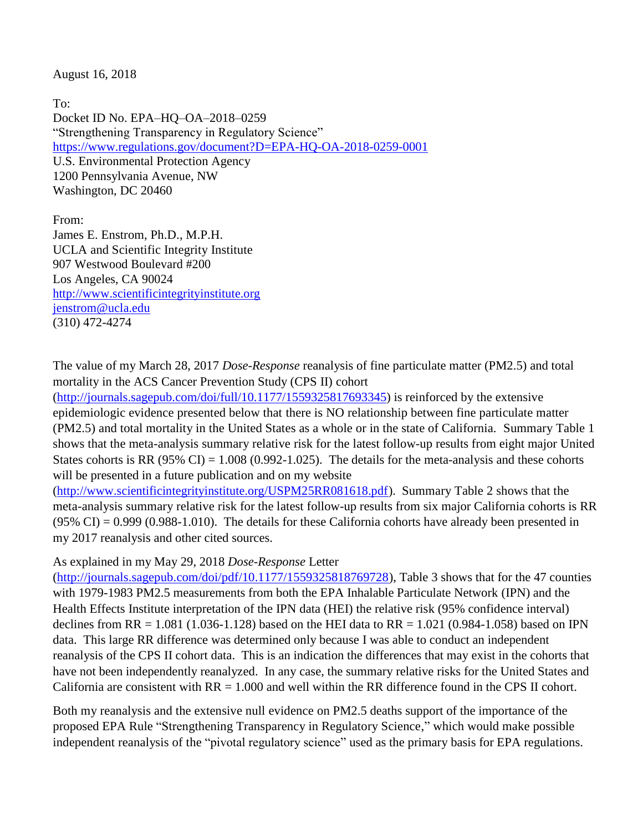August 16, 2018

To: Docket ID No. EPA–HQ–OA–2018–0259 "Strengthening Transparency in Regulatory Science" <https://www.regulations.gov/document?D=EPA-HQ-OA-2018-0259-0001> U.S. Environmental Protection Agency 1200 Pennsylvania Avenue, NW Washington, DC 20460

From: James E. Enstrom, Ph.D., M.P.H. UCLA and Scientific Integrity Institute 907 Westwood Boulevard #200 Los Angeles, CA 90024 [http://www.scientificintegrityinstitute.org](http://www.scientificintegrityinstitute.org/) [jenstrom@ucla.edu](mailto:jenstrom@ucla.edu) (310) 472-4274

The value of my March 28, 2017 *Dose-Response* reanalysis of fine particulate matter (PM2.5) and total mortality in the ACS Cancer Prevention Study (CPS II) cohort

[\(http://journals.sagepub.com/doi/full/10.1177/1559325817693345\)](http://journals.sagepub.com/doi/full/10.1177/1559325817693345) is reinforced by the extensive epidemiologic evidence presented below that there is NO relationship between fine particulate matter (PM2.5) and total mortality in the United States as a whole or in the state of California. Summary Table 1 shows that the meta-analysis summary relative risk for the latest follow-up results from eight major United States cohorts is RR (95% CI) =  $1.008$  (0.992-1.025). The details for the meta-analysis and these cohorts will be presented in a future publication and on my website

[\(http://www.scientificintegrityinstitute.org/USPM25RR081618.pdf\)](http://www.scientificintegrityinstitute.org/USPM25RR081618.pdf). Summary Table 2 shows that the meta-analysis summary relative risk for the latest follow-up results from six major California cohorts is RR  $(95\% \text{ CI}) = 0.999 \ (0.988-1.010)$ . The details for these California cohorts have already been presented in my 2017 reanalysis and other cited sources.

As explained in my May 29, 2018 *Dose-Response* Letter

[\(http://journals.sagepub.com/doi/pdf/10.1177/1559325818769728\)](http://journals.sagepub.com/doi/pdf/10.1177/1559325818769728), Table 3 shows that for the 47 counties with 1979-1983 PM2.5 measurements from both the EPA Inhalable Particulate Network (IPN) and the Health Effects Institute interpretation of the IPN data (HEI) the relative risk (95% confidence interval) declines from RR = 1.081 (1.036-1.128) based on the HEI data to RR = 1.021 (0.984-1.058) based on IPN data. This large RR difference was determined only because I was able to conduct an independent reanalysis of the CPS II cohort data. This is an indication the differences that may exist in the cohorts that have not been independently reanalyzed. In any case, the summary relative risks for the United States and California are consistent with  $RR = 1.000$  and well within the RR difference found in the CPS II cohort.

Both my reanalysis and the extensive null evidence on PM2.5 deaths support of the importance of the proposed EPA Rule "Strengthening Transparency in Regulatory Science," which would make possible independent reanalysis of the "pivotal regulatory science" used as the primary basis for EPA regulations.